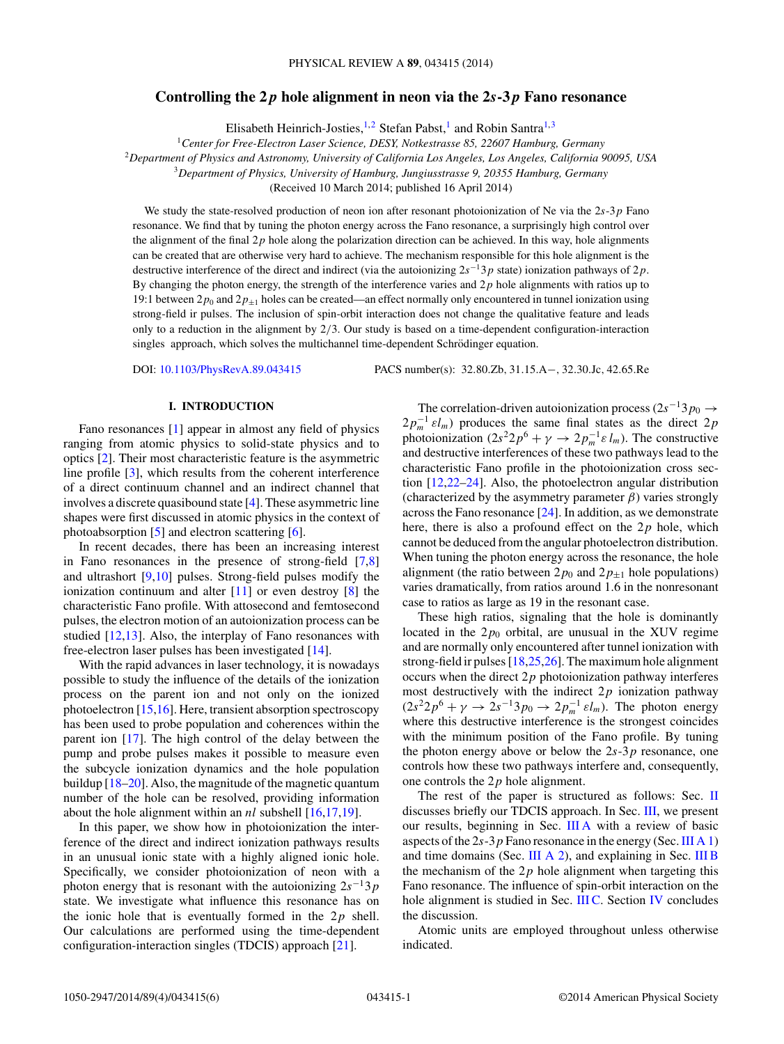# **Controlling the 2** *p* **hole alignment in neon via the 2***s***-3** *p* **Fano resonance**

Elisabeth Heinrich-Josties, <sup>1,2</sup> Stefan Pabst,<sup>1</sup> and Robin Santra<sup>1,3</sup>

<sup>1</sup>*Center for Free-Electron Laser Science, DESY, Notkestrasse 85, 22607 Hamburg, Germany*

<sup>2</sup>*Department of Physics and Astronomy, University of California Los Angeles, Los Angeles, California 90095, USA*

<sup>3</sup>*Department of Physics, University of Hamburg, Jungiusstrasse 9, 20355 Hamburg, Germany*

(Received 10 March 2014; published 16 April 2014)

We study the state-resolved production of neon ion after resonant photoionization of Ne via the 2*s*-3*p* Fano resonance. We find that by tuning the photon energy across the Fano resonance, a surprisingly high control over the alignment of the final 2*p* hole along the polarization direction can be achieved. In this way, hole alignments can be created that are otherwise very hard to achieve. The mechanism responsible for this hole alignment is the destructive interference of the direct and indirect (via the autoionizing 2*s*−13*p* state) ionization pathways of 2*p*. By changing the photon energy, the strength of the interference varies and 2*p* hole alignments with ratios up to 19:1 between  $2p_0$  and  $2p_{\pm 1}$  holes can be created—an effect normally only encountered in tunnel ionization using strong-field ir pulses. The inclusion of spin-orbit interaction does not change the qualitative feature and leads only to a reduction in the alignment by 2*/*3. Our study is based on a time-dependent configuration-interaction singles approach, which solves the multichannel time-dependent Schrödinger equation.

DOI: [10.1103/PhysRevA.89.043415](http://dx.doi.org/10.1103/PhysRevA.89.043415) PACS number(s): 32*.*80*.*Zb*,* 31*.*15*.*A−*,* 32*.*30*.*Jc*,* 42*.*65*.*Re

# **I. INTRODUCTION**

Fano resonances [\[1\]](#page-4-0) appear in almost any field of physics ranging from atomic physics to solid-state physics and to optics [\[2\]](#page-4-0). Their most characteristic feature is the asymmetric line profile [\[3\]](#page-4-0), which results from the coherent interference of a direct continuum channel and an indirect channel that involves a discrete quasibound state [\[4\]](#page-4-0). These asymmetric line shapes were first discussed in atomic physics in the context of photoabsorption [\[5\]](#page-4-0) and electron scattering [\[6\]](#page-4-0).

In recent decades, there has been an increasing interest in Fano resonances in the presence of strong-field [\[7](#page-4-0)[,8\]](#page-5-0) and ultrashort [\[9,10\]](#page-5-0) pulses. Strong-field pulses modify the ionization continuum and alter [\[11\]](#page-5-0) or even destroy [\[8\]](#page-5-0) the characteristic Fano profile. With attosecond and femtosecond pulses, the electron motion of an autoionization process can be studied [\[12,13\]](#page-5-0). Also, the interplay of Fano resonances with free-electron laser pulses has been investigated [\[14\]](#page-5-0).

With the rapid advances in laser technology, it is nowadays possible to study the influence of the details of the ionization process on the parent ion and not only on the ionized photoelectron [\[15,16\]](#page-5-0). Here, transient absorption spectroscopy has been used to probe population and coherences within the parent ion [\[17\]](#page-5-0). The high control of the delay between the pump and probe pulses makes it possible to measure even the subcycle ionization dynamics and the hole population buildup [\[18–20\]](#page-5-0). Also, the magnitude of the magnetic quantum number of the hole can be resolved, providing information about the hole alignment within an *nl* subshell [\[16,](#page-5-0)17[,19\]](#page-5-0).

In this paper, we show how in photoionization the interference of the direct and indirect ionization pathways results in an unusual ionic state with a highly aligned ionic hole. Specifically, we consider photoionization of neon with a photon energy that is resonant with the autoionizing 2*s*−13*p* state. We investigate what influence this resonance has on the ionic hole that is eventually formed in the 2*p* shell. Our calculations are performed using the time-dependent configuration-interaction singles (TDCIS) approach [\[21\]](#page-5-0).

The correlation-driven autoionization process (2*s*−13*p*<sup>0</sup> <sup>→</sup>  $2p_m^{-1} \varepsilon l_m$ ) produces the same final states as the direct  $2p$ photoionization  $(2s^2 2p^6 + \gamma \rightarrow 2p_m^{-1} \varepsilon l_m)$ . The constructive and destructive interferences of these two pathways lead to the characteristic Fano profile in the photoionization cross section [\[12,](#page-5-0)22[–24\]](#page-5-0). Also, the photoelectron angular distribution (characterized by the asymmetry parameter  $\beta$ ) varies strongly across the Fano resonance [\[24\]](#page-5-0). In addition, as we demonstrate here, there is also a profound effect on the 2*p* hole, which cannot be deduced from the angular photoelectron distribution. When tuning the photon energy across the resonance, the hole alignment (the ratio between  $2p_0$  and  $2p_{+1}$  hole populations) varies dramatically, from ratios around 1.6 in the nonresonant case to ratios as large as 19 in the resonant case.

These high ratios, signaling that the hole is dominantly located in the  $2p_0$  orbital, are unusual in the XUV regime and are normally only encountered after tunnel ionization with strong-field ir pulses [\[18,](#page-5-0)25[,26\]](#page-5-0). The maximum hole alignment occurs when the direct 2*p* photoionization pathway interferes most destructively with the indirect 2*p* ionization pathway  $(2s^22p^6 + \gamma \rightarrow 2s^{-1}3p_0 \rightarrow 2p_m^{-1} \varepsilon l_m)$ . The photon energy where this destructive interference is the strongest coincides with the minimum position of the Fano profile. By tuning the photon energy above or below the 2*s*-3*p* resonance, one controls how these two pathways interfere and, consequently, one controls the 2*p* hole alignment.

The rest of the paper is structured as follows: Sec. [II](#page-1-0) discusses briefly our TDCIS approach. In Sec. [III,](#page-1-0) we present our results, beginning in Sec. [III A](#page-1-0) with a review of basic aspects of the 2*s*-3*p* Fano resonance in the energy (Sec.[III A 1\)](#page-1-0) and time domains (Sec. [III A 2\)](#page-2-0), and explaining in Sec. [III B](#page-2-0) the mechanism of the  $2p$  hole alignment when targeting this Fano resonance. The influence of spin-orbit interaction on the hole alignment is studied in Sec. [III C.](#page-3-0) Section [IV](#page-4-0) concludes the discussion.

Atomic units are employed throughout unless otherwise indicated.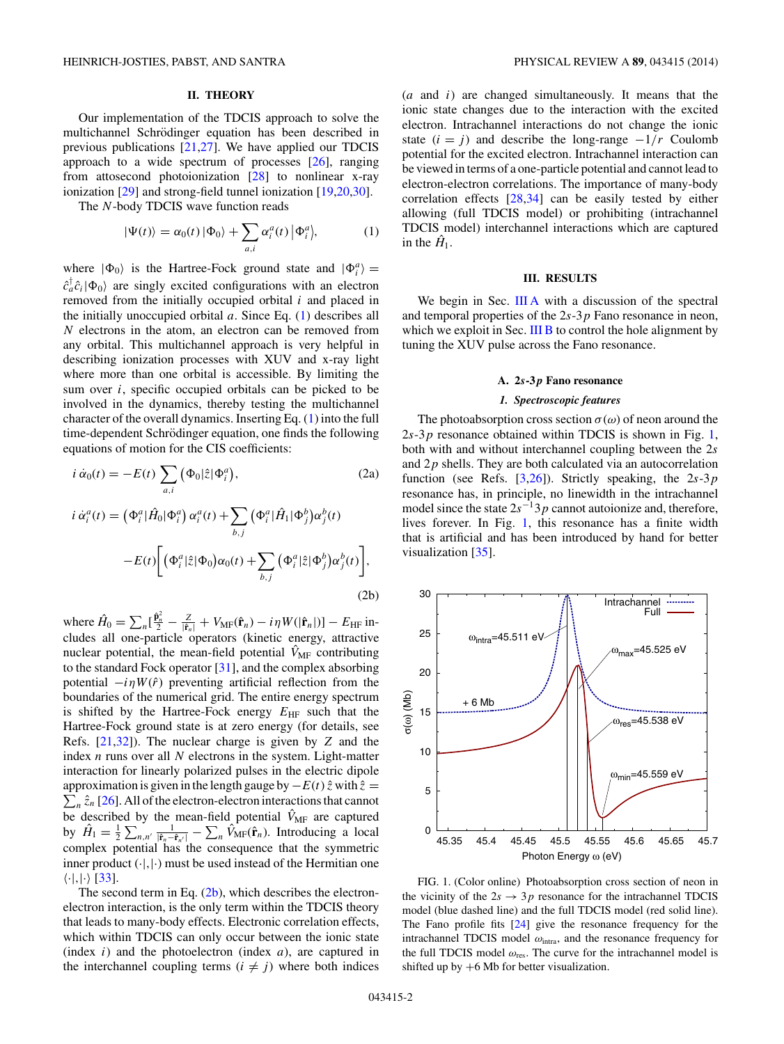# **II. THEORY**

<span id="page-1-0"></span>Our implementation of the TDCIS approach to solve the multichannel Schrödinger equation has been described in previous publications [\[21,27\]](#page-5-0). We have applied our TDCIS approach to a wide spectrum of processes [\[26\]](#page-5-0), ranging from attosecond photoionization [\[28\]](#page-5-0) to nonlinear x-ray ionization [\[29\]](#page-5-0) and strong-field tunnel ionization [\[19,](#page-5-0)20[,30\]](#page-5-0).

The *N*-body TDCIS wave function reads

$$
|\Psi(t)\rangle = \alpha_0(t) |\Phi_0\rangle + \sum_{a,i} \alpha_i^a(t) |\Phi_i^a\rangle, \tag{1}
$$

where  $|\Phi_0\rangle$  is the Hartree-Fock ground state and  $|\Phi_i^a\rangle$  =  $\hat{c}_a^{\dagger} \hat{c}_i |\Phi_0\rangle$  are singly excited configurations with an electron removed from the initially occupied orbital *i* and placed in the initially unoccupied orbital *a*. Since Eq. (1) describes all *N* electrons in the atom, an electron can be removed from any orbital. This multichannel approach is very helpful in describing ionization processes with XUV and x-ray light where more than one orbital is accessible. By limiting the sum over *i*, specific occupied orbitals can be picked to be involved in the dynamics, thereby testing the multichannel character of the overall dynamics. Inserting Eq. (1) into the full time-dependent Schrödinger equation, one finds the following equations of motion for the CIS coefficients:

$$
i \dot{\alpha}_0(t) = -E(t) \sum_{a,i} (\Phi_0 | \hat{z} | \Phi_i^a),
$$
\n(2a)  
\n
$$
i \dot{\alpha}_i^a(t) = (\Phi_i^a | \hat{H}_0 | \Phi_i^a) \alpha_i^a(t) + \sum (\Phi_i^a | \hat{H}_1 | \Phi_j^b) \alpha_j^b(t)
$$

$$
-E(t)\bigg[\Big(\Phi_i^a|\hat{z}|\Phi_0\Big)\alpha_0(t)+\sum_{b,j}\Big(\Phi_i^a|\hat{z}|\Phi_j^b\Big)\alpha_j^b(t)\bigg],\tag{2b}
$$

where  $\hat{H}_0 = \sum_n [\frac{\hat{\mathbf{p}}_n^2}{2} - \frac{Z}{|\hat{\mathbf{r}}_n|} + V_{\text{MF}}(\hat{\mathbf{r}}_n) - i\eta W(|\hat{\mathbf{r}}_n|)] - E_{\text{HF}}$  includes all one-particle operators (kinetic energy, attractive nuclear potential, the mean-field potential  $\hat{V}_{MF}$  contributing to the standard Fock operator [\[31\]](#page-5-0), and the complex absorbing potential  $-i\eta W(\hat{r})$  preventing artificial reflection from the boundaries of the numerical grid. The entire energy spectrum is shifted by the Hartree-Fock energy  $E_{HF}$  such that the Hartree-Fock ground state is at zero energy (for details, see Refs. [\[21,32\]](#page-5-0)). The nuclear charge is given by *Z* and the index *n* runs over all *N* electrons in the system. Light-matter interaction for linearly polarized pulses in the electric dipole  $\sum_{n} \hat{z}_n$  [\[26\]](#page-5-0). All of the electron-electron interactions that cannot approximation is given in the length gauge by−*E*(*t*) *z*ˆ with *z*ˆ = be described by the mean-field potential  $\hat{V}_{MF}$  are captured by  $\hat{H}_1 = \frac{1}{2} \sum_{n,n'} \frac{1}{|\hat{\mathbf{r}}_n - \hat{\mathbf{r}}_{n'}|} - \sum_n \hat{V}_{MF}(\hat{\mathbf{r}}_n)$ . Introducing a local complex potential has the consequence that the symmetric inner product  $(\cdot, |\cdot)$  must be used instead of the Hermitian one  $\langle \cdot |, |\cdot \rangle$  [\[33\]](#page-5-0).

The second term in Eq.  $(2b)$ , which describes the electronelectron interaction, is the only term within the TDCIS theory that leads to many-body effects. Electronic correlation effects, which within TDCIS can only occur between the ionic state (index *i*) and the photoelectron (index *a*), are captured in the interchannel coupling terms  $(i \neq j)$  where both indices

(*a* and *i*) are changed simultaneously. It means that the ionic state changes due to the interaction with the excited electron. Intrachannel interactions do not change the ionic state  $(i = j)$  and describe the long-range  $-1/r$  Coulomb potential for the excited electron. Intrachannel interaction can be viewed in terms of a one-particle potential and cannot lead to electron-electron correlations. The importance of many-body correlation effects [\[28,34\]](#page-5-0) can be easily tested by either allowing (full TDCIS model) or prohibiting (intrachannel TDCIS model) interchannel interactions which are captured in the  $\hat{H}_1$ .

# **III. RESULTS**

We begin in Sec. III A with a discussion of the spectral and temporal properties of the 2*s*-3*p* Fano resonance in neon, which we exploit in Sec. [III B](#page-2-0) to control the hole alignment by tuning the XUV pulse across the Fano resonance.

# **A. 2***s***-3** *p* **Fano resonance**

#### *1. Spectroscopic features*

The photoabsorption cross section  $\sigma(\omega)$  of neon around the 2*s*-3*p* resonance obtained within TDCIS is shown in Fig. 1, both with and without interchannel coupling between the 2*s* and 2*p* shells. They are both calculated via an autocorrelation function (see Refs. [\[3,](#page-4-0)[26\]](#page-5-0)). Strictly speaking, the 2*s*-3*p* resonance has, in principle, no linewidth in the intrachannel model since the state 2*s*−13*p* cannot autoionize and, therefore, lives forever. In Fig. 1, this resonance has a finite width that is artificial and has been introduced by hand for better visualization [\[35\]](#page-5-0).



FIG. 1. (Color online) Photoabsorption cross section of neon in the vicinity of the  $2s \rightarrow 3p$  resonance for the intrachannel TDCIS model (blue dashed line) and the full TDCIS model (red solid line). The Fano profile fits [\[24\]](#page-5-0) give the resonance frequency for the intrachannel TDCIS model *ω*intra, and the resonance frequency for the full TDCIS model  $\omega_{res}$ . The curve for the intrachannel model is shifted up by  $+6$  Mb for better visualization.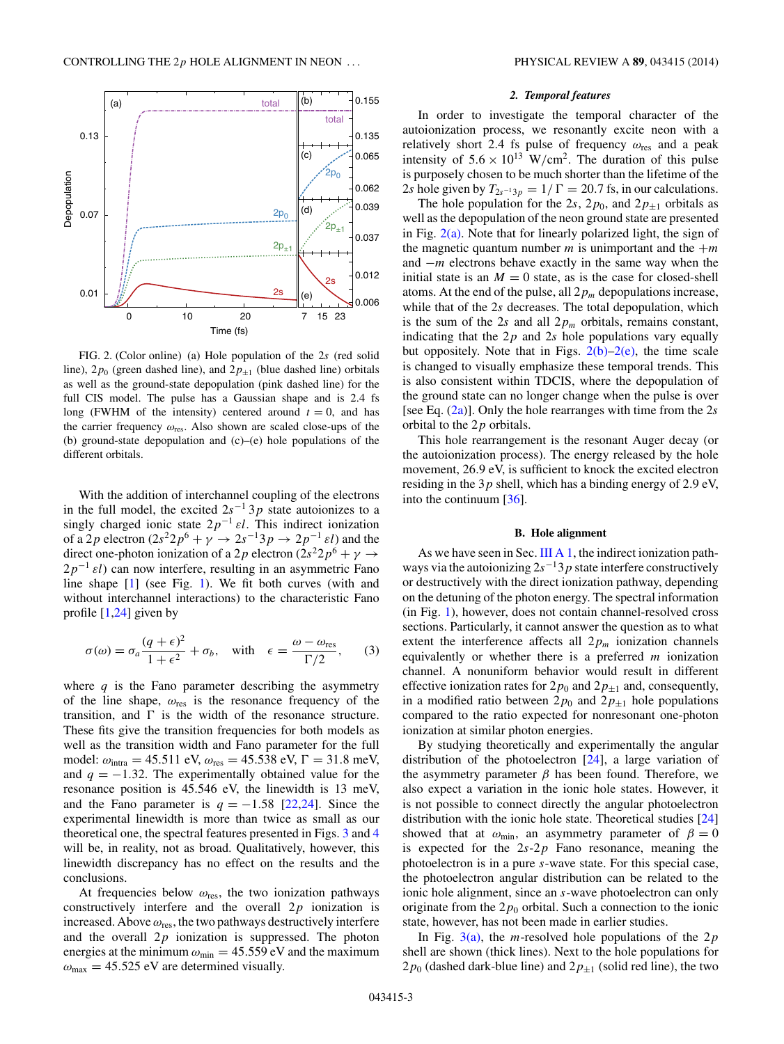<span id="page-2-0"></span>

FIG. 2. (Color online) (a) Hole population of the 2*s* (red solid line),  $2p_0$  (green dashed line), and  $2p_{\pm 1}$  (blue dashed line) orbitals as well as the ground-state depopulation (pink dashed line) for the full CIS model. The pulse has a Gaussian shape and is 2*.*4 fs long (FWHM of the intensity) centered around  $t = 0$ , and has the carrier frequency *ω*res. Also shown are scaled close-ups of the (b) ground-state depopulation and (c)–(e) hole populations of the different orbitals.

With the addition of interchannel coupling of the electrons in the full model, the excited  $2s^{-1}$  3*p* state autoionizes to a singly charged ionic state  $2p^{-1} \varepsilon l$ . This indirect ionization of a 2*p* electron  $(2s^2 2p^6 + \gamma \rightarrow 2s^{-1}3p \rightarrow 2p^{-1} \epsilon l)$  and the direct one-photon ionization of a 2*p* electron (2*s*<sup>2</sup>2*p*<sup>6</sup> + *γ*  $\rightarrow$  $2p^{-1}$  *εl*) can now interfere, resulting in an asymmetric Fano line shape [\[1\]](#page-4-0) (see Fig. [1\)](#page-1-0). We fit both curves (with and without interchannel interactions) to the characteristic Fano profile  $[1,24]$  $[1,24]$  given by

$$
\sigma(\omega) = \sigma_a \frac{(q+\epsilon)^2}{1+\epsilon^2} + \sigma_b, \quad \text{with} \quad \epsilon = \frac{\omega - \omega_{\text{res}}}{\Gamma/2}, \tag{3}
$$

where  $q$  is the Fano parameter describing the asymmetry of the line shape, *ω*res is the resonance frequency of the transition, and  $\Gamma$  is the width of the resonance structure. These fits give the transition frequencies for both models as well as the transition width and Fano parameter for the full model:  $\omega_{\text{intra}} = 45.511 \text{ eV}, \omega_{\text{res}} = 45.538 \text{ eV}, \Gamma = 31.8 \text{ meV},$ and  $q = -1.32$ . The experimentally obtained value for the resonance position is 45.546 eV, the linewidth is 13 meV, and the Fano parameter is  $q = -1.58$  [\[22,24\]](#page-5-0). Since the experimental linewidth is more than twice as small as our theoretical one, the spectral features presented in Figs. [3](#page-3-0) and [4](#page-4-0) will be, in reality, not as broad. Qualitatively, however, this linewidth discrepancy has no effect on the results and the conclusions.

At frequencies below *ω*res, the two ionization pathways constructively interfere and the overall 2*p* ionization is increased. Above *ω*res, the two pathways destructively interfere and the overall 2*p* ionization is suppressed. The photon energies at the minimum  $\omega_{\text{min}} = 45.559 \text{ eV}$  and the maximum  $\omega_{\text{max}} = 45.525 \text{ eV}$  are determined visually.

#### *2. Temporal features*

In order to investigate the temporal character of the autoionization process, we resonantly excite neon with a relatively short 2*.*4 fs pulse of frequency *ω*res and a peak intensity of  $5.6 \times 10^{13}$  W/cm<sup>2</sup>. The duration of this pulse is purposely chosen to be much shorter than the lifetime of the 2*s* hole given by  $T_{2s^{-1}3p} = 1/\Gamma = 20.7$  fs, in our calculations.

The hole population for the 2*s*, 2 $p_0$ , and 2 $p_{\pm 1}$  orbitals as well as the depopulation of the neon ground state are presented in Fig.  $2(a)$ . Note that for linearly polarized light, the sign of the magnetic quantum number  $m$  is unimportant and the  $+m$ and −*m* electrons behave exactly in the same way when the initial state is an  $M = 0$  state, as is the case for closed-shell atoms. At the end of the pulse, all  $2p_m$  depopulations increase, while that of the 2*s* decreases. The total depopulation, which is the sum of the 2*s* and all  $2p_m$  orbitals, remains constant, indicating that the 2*p* and 2*s* hole populations vary equally but oppositely. Note that in Figs.  $2(b)-2(e)$ , the time scale is changed to visually emphasize these temporal trends. This is also consistent within TDCIS, where the depopulation of the ground state can no longer change when the pulse is over [see Eq. [\(2a\)](#page-1-0)]. Only the hole rearranges with time from the 2*s* orbital to the 2*p* orbitals.

This hole rearrangement is the resonant Auger decay (or the autoionization process). The energy released by the hole movement, 26.9 eV, is sufficient to knock the excited electron residing in the 3*p* shell, which has a binding energy of 2*.*9 eV, into the continuum [\[36\]](#page-5-0).

#### **B. Hole alignment**

As we have seen in Sec. [III A 1,](#page-1-0) the indirect ionization pathways via the autoionizing 2*s*−13*p* state interfere constructively or destructively with the direct ionization pathway, depending on the detuning of the photon energy. The spectral information (in Fig. [1\)](#page-1-0), however, does not contain channel-resolved cross sections. Particularly, it cannot answer the question as to what extent the interference affects all  $2p_m$  ionization channels equivalently or whether there is a preferred *m* ionization channel. A nonuniform behavior would result in different effective ionization rates for  $2p_0$  and  $2p_{\pm 1}$  and, consequently, in a modified ratio between  $2p_0$  and  $2p_{\pm 1}$  hole populations compared to the ratio expected for nonresonant one-photon ionization at similar photon energies.

By studying theoretically and experimentally the angular distribution of the photoelectron [\[24\]](#page-5-0), a large variation of the asymmetry parameter  $β$  has been found. Therefore, we also expect a variation in the ionic hole states. However, it is not possible to connect directly the angular photoelectron distribution with the ionic hole state. Theoretical studies [\[24\]](#page-5-0) showed that at  $\omega_{\text{min}}$ , an asymmetry parameter of  $\beta = 0$ is expected for the 2*s*-2*p* Fano resonance, meaning the photoelectron is in a pure *s*-wave state. For this special case, the photoelectron angular distribution can be related to the ionic hole alignment, since an *s*-wave photoelectron can only originate from the  $2p_0$  orbital. Such a connection to the ionic state, however, has not been made in earlier studies.

In Fig. [3\(a\),](#page-3-0) the *m*-resolved hole populations of the 2*p* shell are shown (thick lines). Next to the hole populations for  $2p_0$  (dashed dark-blue line) and  $2p_{\pm 1}$  (solid red line), the two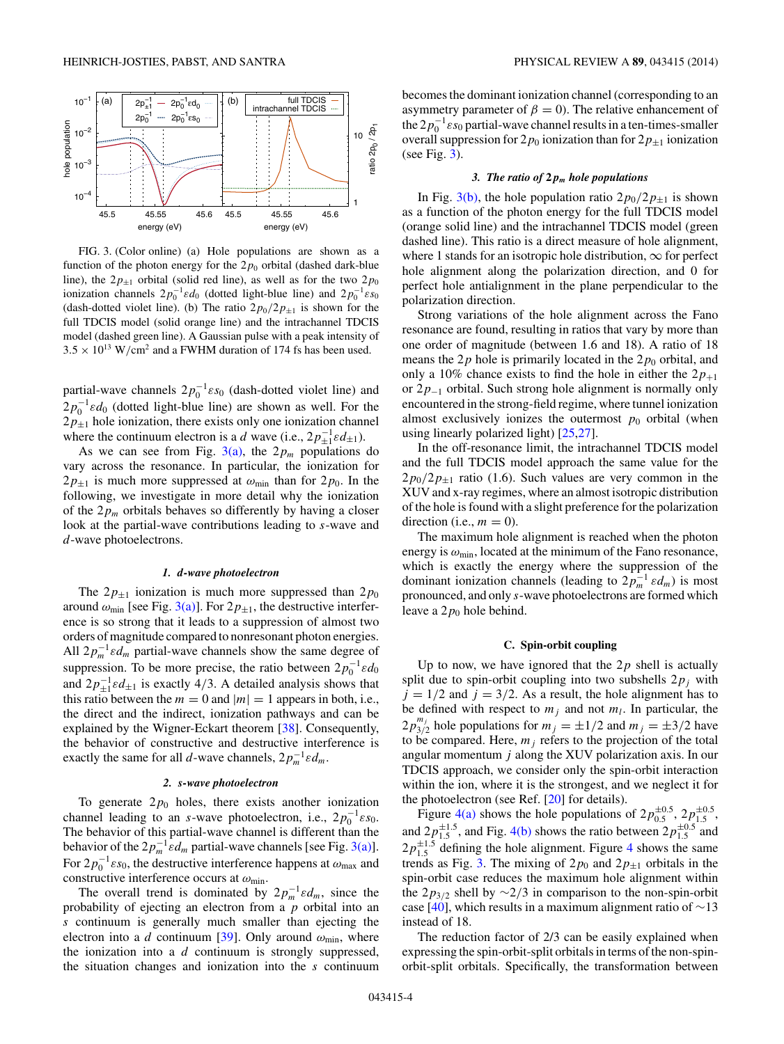<span id="page-3-0"></span>

FIG. 3. (Color online) (a) Hole populations are shown as a function of the photon energy for the  $2p_0$  orbital (dashed dark-blue line), the  $2p_{\pm 1}$  orbital (solid red line), as well as for the two  $2p_0$ ionization channels  $2p_0^{-1}\varepsilon d_0$  (dotted light-blue line) and  $2p_0^{-1}\varepsilon s_0$ (dash-dotted violet line). (b) The ratio  $2p_0/2p_{\pm 1}$  is shown for the full TDCIS model (solid orange line) and the intrachannel TDCIS model (dashed green line). A Gaussian pulse with a peak intensity of  $3.5 \times 10^{13}$  W/cm<sup>2</sup> and a FWHM duration of 174 fs has been used.

partial-wave channels  $2p_0^{-1} \varepsilon s_0$  (dash-dotted violet line) and  $2p_0^{-1}\varepsilon d_0$  (dotted light-blue line) are shown as well. For the  $2p_{\pm 1}$  hole ionization, there exists only one ionization channel where the continuum electron is a *d* wave (i.e.,  $2p_{\pm 1}^{-1} \epsilon d_{\pm 1}$ ).

As we can see from Fig.  $3(a)$ , the  $2p_m$  populations do vary across the resonance. In particular, the ionization for  $2p_{\pm 1}$  is much more suppressed at  $\omega_{\text{min}}$  than for  $2p_0$ . In the following, we investigate in more detail why the ionization of the  $2p_m$  orbitals behaves so differently by having a closer look at the partial-wave contributions leading to *s*-wave and *d*-wave photoelectrons.

#### *1. d-wave photoelectron*

The  $2p_{\pm 1}$  ionization is much more suppressed than  $2p_0$ around  $\omega_{\text{min}}$  [see Fig. 3(a)]. For  $2p_{\pm 1}$ , the destructive interference is so strong that it leads to a suppression of almost two orders of magnitude compared to nonresonant photon energies. All  $2p_m^{-1} \varepsilon d_m$  partial-wave channels show the same degree of suppression. To be more precise, the ratio between  $2p_0^{-1}\varepsilon d_0$ and  $2p_{\pm 1}^{-1} \varepsilon d_{\pm 1}$  is exactly 4/3. A detailed analysis shows that this ratio between the  $m = 0$  and  $|m| = 1$  appears in both, i.e., the direct and the indirect, ionization pathways and can be explained by the Wigner-Eckart theorem [\[38\]](#page-5-0). Consequently, the behavior of constructive and destructive interference is exactly the same for all *d*-wave channels,  $2p_m^{-1}\varepsilon d_m$ .

# *2. s-wave photoelectron*

To generate  $2p_0$  holes, there exists another ionization channel leading to an *s*-wave photoelectron, i.e.,  $2p_0^{-1} \varepsilon s_0$ . The behavior of this partial-wave channel is different than the behavior of the  $2p_m^{-1}\varepsilon d_m$  partial-wave channels [see Fig. 3(a)]. For  $2p_0^{-1}\varepsilon s_0$ , the destructive interference happens at  $\omega_{\text{max}}$  and constructive interference occurs at *ω*min.

The overall trend is dominated by  $2p_m^{-1}\epsilon d_m$ , since the probability of ejecting an electron from a *p* orbital into an *s* continuum is generally much smaller than ejecting the electron into a *d* continuum [\[39\]](#page-5-0). Only around  $\omega_{\text{min}}$ , where the ionization into a *d* continuum is strongly suppressed, the situation changes and ionization into the *s* continuum becomes the dominant ionization channel (corresponding to an asymmetry parameter of  $\beta = 0$ ). The relative enhancement of the  $2p_0^{-1}$  *εs*<sub>0</sub> partial-wave channel results in a ten-times-smaller overall suppression for  $2p_0$  ionization than for  $2p_{\pm 1}$  ionization (see Fig. 3).

#### *3. The ratio of* **2** *pm hole populations*

In Fig. 3(b), the hole population ratio  $2p_0/2p_{\pm 1}$  is shown as a function of the photon energy for the full TDCIS model (orange solid line) and the intrachannel TDCIS model (green dashed line). This ratio is a direct measure of hole alignment, where 1 stands for an isotropic hole distribution,  $\infty$  for perfect hole alignment along the polarization direction, and 0 for perfect hole antialignment in the plane perpendicular to the polarization direction.

Strong variations of the hole alignment across the Fano resonance are found, resulting in ratios that vary by more than one order of magnitude (between 1.6 and 18). A ratio of 18 means the  $2p$  hole is primarily located in the  $2p_0$  orbital, and only a 10% chance exists to find the hole in either the  $2p_{+1}$ or 2*p*−<sup>1</sup> orbital. Such strong hole alignment is normally only encountered in the strong-field regime, where tunnel ionization almost exclusively ionizes the outermost  $p_0$  orbital (when using linearly polarized light) [\[25,27\]](#page-5-0).

In the off-resonance limit, the intrachannel TDCIS model and the full TDCIS model approach the same value for the  $2p_0/2p_{\pm 1}$  ratio (1.6). Such values are very common in the XUV and x-ray regimes, where an almost isotropic distribution of the hole is found with a slight preference for the polarization direction (i.e.,  $m = 0$ ).

The maximum hole alignment is reached when the photon energy is *ω*min, located at the minimum of the Fano resonance, which is exactly the energy where the suppression of the dominant ionization channels (leading to  $2p_m^{-1} \varepsilon d_m$ ) is most pronounced, and only *s*-wave photoelectrons are formed which leave a  $2p_0$  hole behind.

# **C. Spin-orbit coupling**

Up to now, we have ignored that the  $2p$  shell is actually split due to spin-orbit coupling into two subshells  $2p_j$  with  $j = 1/2$  and  $j = 3/2$ . As a result, the hole alignment has to be defined with respect to  $m_j$  and not  $m_l$ . In particular, the  $2p_{3/2}^{m_j}$  hole populations for  $m_j = \pm 1/2$  and  $m_j = \pm 3/2$  have to be compared. Here,  $m_j$  refers to the projection of the total angular momentum *j* along the XUV polarization axis. In our TDCIS approach, we consider only the spin-orbit interaction within the ion, where it is the strongest, and we neglect it for the photoelectron (see Ref. [\[20\]](#page-5-0) for details).

Figure [4\(a\)](#page-4-0) shows the hole populations of  $2p_{0.5}^{\pm 0.5}$ ,  $2p_{1.5}^{\pm 0.5}$ , and  $2p_{1.5}^{\pm 1.5}$ , and Fig. [4\(b\)](#page-4-0) shows the ratio between  $2p_{1.5}^{\pm 0.5}$  and  $2p_{1.5}^{\pm1.5}$  defining the hole alignment. Figure [4](#page-4-0) shows the same trends as Fig. 3. The mixing of  $2p_0$  and  $2p_{\pm 1}$  orbitals in the spin-orbit case reduces the maximum hole alignment within the  $2p_{3/2}$  shell by  $\sim$ 2/3 in comparison to the non-spin-orbit case [\[40\]](#page-5-0), which results in a maximum alignment ratio of  $\sim$ 13 instead of 18.

The reduction factor of 2/3 can be easily explained when expressing the spin-orbit-split orbitals in terms of the non-spinorbit-split orbitals. Specifically, the transformation between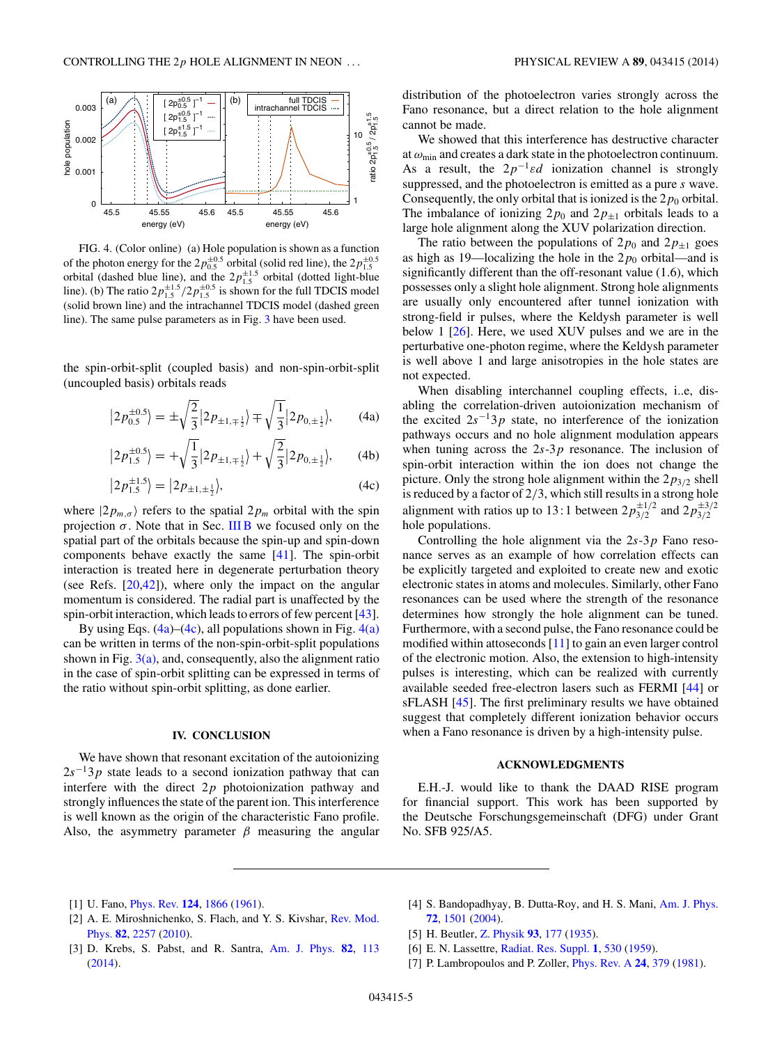<span id="page-4-0"></span>

FIG. 4. (Color online) (a) Hole population is shown as a function of the photon energy for the  $2p_{0.5}^{\pm 0.5}$  orbital (solid red line), the  $2p_{1.5}^{\pm 0.5}$  orbital (dashed blue line), and the  $2p_{1.5}^{\pm 1.5}$  orbital (dotted light-blue line). (b) The ratio  $2p_{1.5}^{\pm 1.5}/2p_{1.5}^{\pm 0.5}$  is shown for the full TDCIS model (solid brown line) and the intrachannel TDCIS model (dashed green line). The same pulse parameters as in Fig. [3](#page-3-0) have been used.

the spin-orbit-split (coupled basis) and non-spin-orbit-split (uncoupled basis) orbitals reads

$$
|2p_{0.5}^{\pm 0.5}\rangle = \pm \sqrt{\frac{2}{3}} |2p_{\pm 1,\mp \frac{1}{2}}\rangle \mp \sqrt{\frac{1}{3}} |2p_{0,\pm \frac{1}{2}}\rangle, \qquad (4a)
$$

$$
|2p_{1.5}^{\pm 0.5}\rangle = +\sqrt{\frac{1}{3}}|2p_{\pm 1,\mp \frac{1}{2}}\rangle + \sqrt{\frac{2}{3}}|2p_{0,\pm \frac{1}{2}}\rangle, \qquad (4b)
$$

$$
|2p_{1.5}^{\pm 1.5}\rangle = |2p_{\pm 1,\pm \frac{1}{2}}\rangle,\tag{4c}
$$

where  $|2p_{m,\sigma}\rangle$  refers to the spatial  $2p_m$  orbital with the spin projection  $\sigma$ . Note that in Sec. [III B](#page-2-0) we focused only on the spatial part of the orbitals because the spin-up and spin-down components behave exactly the same [\[41\]](#page-5-0). The spin-orbit interaction is treated here in degenerate perturbation theory (see Refs.  $[20,42]$ ), where only the impact on the angular momentum is considered. The radial part is unaffected by the spin-orbit interaction, which leads to errors of few percent [\[43\]](#page-5-0).

By using Eqs.  $(4a)$ – $(4c)$ , all populations shown in Fig.  $4(a)$ can be written in terms of the non-spin-orbit-split populations shown in Fig.  $3(a)$ , and, consequently, also the alignment ratio in the case of spin-orbit splitting can be expressed in terms of the ratio without spin-orbit splitting, as done earlier.

# **IV. CONCLUSION**

We have shown that resonant excitation of the autoionizing  $2s^{-1}3p$  state leads to a second ionization pathway that can interfere with the direct 2*p* photoionization pathway and strongly influences the state of the parent ion. This interference is well known as the origin of the characteristic Fano profile. Also, the asymmetry parameter  $\beta$  measuring the angular distribution of the photoelectron varies strongly across the Fano resonance, but a direct relation to the hole alignment cannot be made.

We showed that this interference has destructive character at *ω*min and creates a dark state in the photoelectron continuum. As a result, the  $2p^{-1} \varepsilon d$  ionization channel is strongly suppressed, and the photoelectron is emitted as a pure *s* wave. Consequently, the only orbital that is ionized is the  $2p_0$  orbital. The imbalance of ionizing  $2p_0$  and  $2p_{\pm 1}$  orbitals leads to a large hole alignment along the XUV polarization direction.

The ratio between the populations of  $2p_0$  and  $2p_{\pm 1}$  goes as high as 19—localizing the hole in the  $2p_0$  orbital—and is significantly different than the off-resonant value (1*.*6), which possesses only a slight hole alignment. Strong hole alignments are usually only encountered after tunnel ionization with strong-field ir pulses, where the Keldysh parameter is well below 1 [\[26\]](#page-5-0). Here, we used XUV pulses and we are in the perturbative one-photon regime, where the Keldysh parameter is well above 1 and large anisotropies in the hole states are not expected.

When disabling interchannel coupling effects, i..e, disabling the correlation-driven autoionization mechanism of the excited  $2s^{-1}3p$  state, no interference of the ionization pathways occurs and no hole alignment modulation appears when tuning across the 2*s*-3*p* resonance. The inclusion of spin-orbit interaction within the ion does not change the picture. Only the strong hole alignment within the  $2p_{3/2}$  shell is reduced by a factor of 2*/*3, which still results in a strong hole alignment with ratios up to 13:1 between  $2p_{3/2}^{\pm 1/2}$  and  $2p_{3/2}^{\pm 3/2}$ hole populations.

Controlling the hole alignment via the 2*s*-3*p* Fano resonance serves as an example of how correlation effects can be explicitly targeted and exploited to create new and exotic electronic states in atoms and molecules. Similarly, other Fano resonances can be used where the strength of the resonance determines how strongly the hole alignment can be tuned. Furthermore, with a second pulse, the Fano resonance could be modified within attoseconds [\[11\]](#page-5-0) to gain an even larger control of the electronic motion. Also, the extension to high-intensity pulses is interesting, which can be realized with currently available seeded free-electron lasers such as FERMI [\[44\]](#page-5-0) or sFLASH [\[45\]](#page-5-0). The first preliminary results we have obtained suggest that completely different ionization behavior occurs when a Fano resonance is driven by a high-intensity pulse.

# **ACKNOWLEDGMENTS**

E.H.-J. would like to thank the DAAD RISE program for financial support. This work has been supported by the Deutsche Forschungsgemeinschaft (DFG) under Grant No. SFB 925/A5.

- [1] U. Fano, [Phys. Rev.](http://dx.doi.org/10.1103/PhysRev.124.1866) **[124](http://dx.doi.org/10.1103/PhysRev.124.1866)**, [1866](http://dx.doi.org/10.1103/PhysRev.124.1866) [\(1961\)](http://dx.doi.org/10.1103/PhysRev.124.1866).
- [2] [A. E. Miroshnichenko, S. Flach, and Y. S. Kivshar,](http://dx.doi.org/10.1103/RevModPhys.82.2257) Rev. Mod. Phys. **[82](http://dx.doi.org/10.1103/RevModPhys.82.2257)**, [2257](http://dx.doi.org/10.1103/RevModPhys.82.2257) [\(2010\)](http://dx.doi.org/10.1103/RevModPhys.82.2257).
- [3] D. Krebs, S. Pabst, and R. Santra, [Am. J. Phys.](http://dx.doi.org/10.1119/1.4827015) **[82](http://dx.doi.org/10.1119/1.4827015)**, [113](http://dx.doi.org/10.1119/1.4827015) [\(2014\)](http://dx.doi.org/10.1119/1.4827015).
- [4] S. Bandopadhyay, B. Dutta-Roy, and H. S. Mani, [Am. J. Phys.](http://dx.doi.org/10.1119/1.1789162) **[72](http://dx.doi.org/10.1119/1.1789162)**, [1501](http://dx.doi.org/10.1119/1.1789162) [\(2004\)](http://dx.doi.org/10.1119/1.1789162).
- [5] H. Beutler, [Z. Physik](http://dx.doi.org/10.1007/BF01365116) **[93](http://dx.doi.org/10.1007/BF01365116)**, [177](http://dx.doi.org/10.1007/BF01365116) [\(1935\)](http://dx.doi.org/10.1007/BF01365116).
- [6] E. N. Lassettre, [Radiat. Res. Suppl.](http://dx.doi.org/10.2307/3583664) **[1](http://dx.doi.org/10.2307/3583664)**, [530](http://dx.doi.org/10.2307/3583664) [\(1959\)](http://dx.doi.org/10.2307/3583664).
- [7] P. Lambropoulos and P. Zoller, [Phys. Rev. A](http://dx.doi.org/10.1103/PhysRevA.24.379) **[24](http://dx.doi.org/10.1103/PhysRevA.24.379)**, [379](http://dx.doi.org/10.1103/PhysRevA.24.379) [\(1981\)](http://dx.doi.org/10.1103/PhysRevA.24.379).